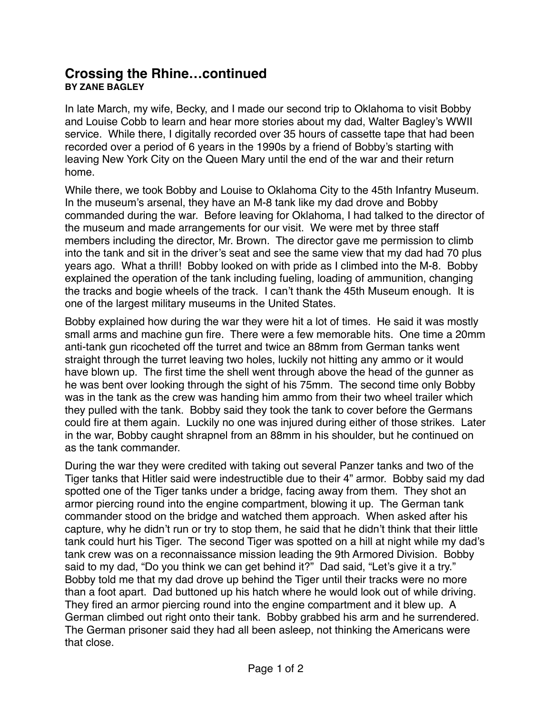## **Crossing the Rhine…continued BY ZANE BAGLEY**

In late March, my wife, Becky, and I made our second trip to Oklahoma to visit Bobby and Louise Cobb to learn and hear more stories about my dad, Walter Bagley's WWII service. While there, I digitally recorded over 35 hours of cassette tape that had been recorded over a period of 6 years in the 1990s by a friend of Bobby's starting with leaving New York City on the Queen Mary until the end of the war and their return home.

While there, we took Bobby and Louise to Oklahoma City to the 45th Infantry Museum. In the museum's arsenal, they have an M-8 tank like my dad drove and Bobby commanded during the war. Before leaving for Oklahoma, I had talked to the director of the museum and made arrangements for our visit. We were met by three staff members including the director, Mr. Brown. The director gave me permission to climb into the tank and sit in the driver's seat and see the same view that my dad had 70 plus years ago. What a thrill! Bobby looked on with pride as I climbed into the M-8. Bobby explained the operation of the tank including fueling, loading of ammunition, changing the tracks and bogie wheels of the track. I can't thank the 45th Museum enough. It is one of the largest military museums in the United States.

Bobby explained how during the war they were hit a lot of times. He said it was mostly small arms and machine gun fire. There were a few memorable hits. One time a 20mm anti-tank gun ricocheted off the turret and twice an 88mm from German tanks went straight through the turret leaving two holes, luckily not hitting any ammo or it would have blown up. The first time the shell went through above the head of the gunner as he was bent over looking through the sight of his 75mm. The second time only Bobby was in the tank as the crew was handing him ammo from their two wheel trailer which they pulled with the tank. Bobby said they took the tank to cover before the Germans could fire at them again. Luckily no one was injured during either of those strikes. Later in the war, Bobby caught shrapnel from an 88mm in his shoulder, but he continued on as the tank commander.

During the war they were credited with taking out several Panzer tanks and two of the Tiger tanks that Hitler said were indestructible due to their 4" armor. Bobby said my dad spotted one of the Tiger tanks under a bridge, facing away from them. They shot an armor piercing round into the engine compartment, blowing it up. The German tank commander stood on the bridge and watched them approach. When asked after his capture, why he didn't run or try to stop them, he said that he didn't think that their little tank could hurt his Tiger. The second Tiger was spotted on a hill at night while my dad's tank crew was on a reconnaissance mission leading the 9th Armored Division. Bobby said to my dad, "Do you think we can get behind it?" Dad said, "Let's give it a try." Bobby told me that my dad drove up behind the Tiger until their tracks were no more than a foot apart. Dad buttoned up his hatch where he would look out of while driving. They fired an armor piercing round into the engine compartment and it blew up. A German climbed out right onto their tank. Bobby grabbed his arm and he surrendered. The German prisoner said they had all been asleep, not thinking the Americans were that close.